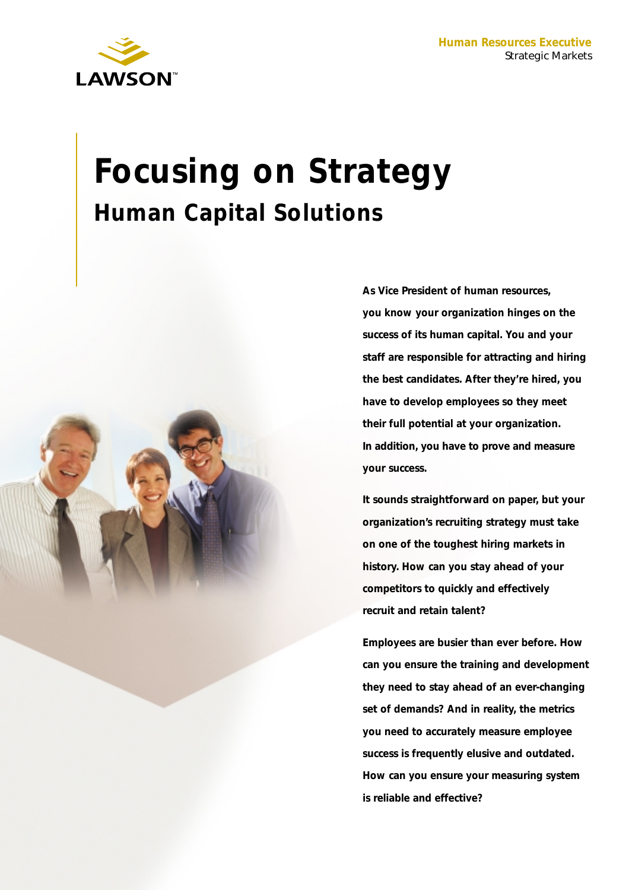

# **Focusing on Strategy Human Capital Solutions**



**As Vice President of human resources, you know your organization hinges on the success of its human capital. You and your staff are responsible for attracting and hiring the best candidates. After they're hired, you have to develop employees so they meet their full potential at your organization. In addition, you have to prove and measure your success.**

**It sounds straightforward on paper, but your organization's recruiting strategy must take on one of the toughest hiring markets in history. How can you stay ahead of your competitors to quickly and effectively recruit and retain talent?** 

**Employees are busier than ever before. How can you ensure the training and development they need to stay ahead of an ever-changing set of demands? And in reality, the metrics you need to accurately measure employee success is frequently elusive and outdated. How can you ensure your measuring system is reliable and effective?**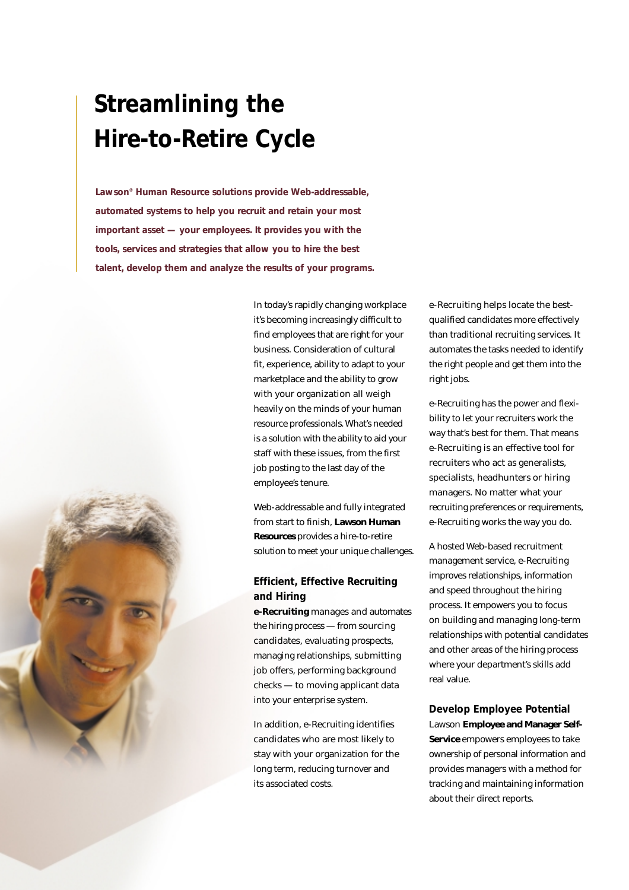# **Streamlining the Hire-to-Retire Cycle**

**Lawson® Human Resource solutions provide Web-addressable, automated systems to help you recruit and retain your most important asset — your employees. It provides you with the tools, services and strategies that allow you to hire the best talent, develop them and analyze the results of your programs.**

> In today's rapidly changing workplace it's becoming increasingly difficult to find employees that are right for your business. Consideration of cultural fit, experience, ability to adapt to your marketplace and the ability to grow with your organization all weigh heavily on the minds of your human resource professionals. What's needed is a solution with the ability to aid your staff with these issues, from the first job posting to the last day of the employee's tenure.

Web-addressable and fully integrated from start to finish, **Lawson Human Resources** provides a hire-to-retire solution to meet your unique challenges.

## **Efficient, Effective Recruiting and Hiring**

**e-Recruiting** manages and automates the hiring process — from sourcing candidates, evaluating prospects, managing relationships, submitting job offers, performing background checks — to moving applicant data into your enterprise system.

In addition, e-Recruiting identifies candidates who are most likely to stay with your organization for the long term, reducing turnover and its associated costs.

e-Recruiting helps locate the bestqualified candidates more effectively than traditional recruiting services. It automates the tasks needed to identify the right people and get them into the right jobs.

e-Recruiting has the power and flexibility to let your recruiters work the way that's best for them. That means e-Recruiting is an effective tool for recruiters who act as generalists, specialists, headhunters or hiring managers. No matter what your recruiting preferences or requirements, e-Recruiting works the way you do.

A hosted Web-based recruitment management service, e-Recruiting improves relationships, information and speed throughout the hiring process. It empowers you to focus on building and managing long-term relationships with potential candidates and other areas of the hiring process where your department's skills add real value.

**Develop Employee Potential** Lawson **Employee and Manager Self-Service** empowers employees to take ownership of personal information and provides managers with a method for tracking and maintaining information about their direct reports.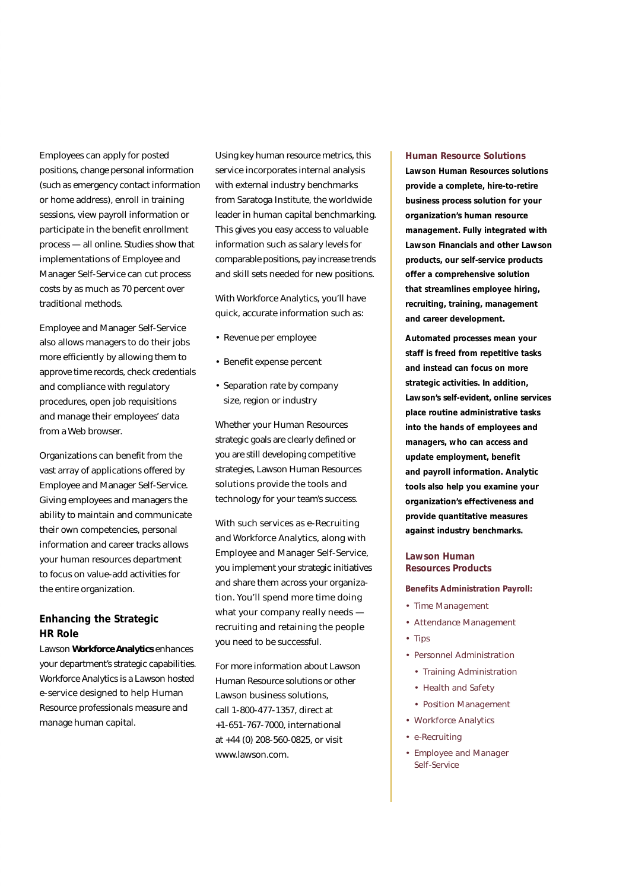Employees can apply for posted positions, change personal information (such as emergency contact information or home address), enroll in training sessions, view payroll information or participate in the benefit enrollment process — all online. Studies show that implementations of Employee and Manager Self-Service can cut process costs by as much as 70 percent over traditional methods.

Employee and Manager Self-Service also allows managers to do their jobs more efficiently by allowing them to approve time records, check credentials and compliance with regulatory procedures, open job requisitions and manage their employees' data from a Web browser.

Organizations can benefit from the vast array of applications offered by Employee and Manager Self-Service. Giving employees and managers the ability to maintain and communicate their own competencies, personal information and career tracks allows your human resources department to focus on value-add activities for the entire organization.

## **Enhancing the Strategic HR Role**

Lawson **Workforce Analytics** enhances your department's strategic capabilities. Workforce Analytics is a Lawson hosted e-service designed to help Human Resource professionals measure and manage human capital.

Using key human resource metrics, this service incorporates internal analysis with external industry benchmarks from Saratoga Institute, the worldwide leader in human capital benchmarking. This gives you easy access to valuable information such as salary levels for comparable positions, pay increase trends and skill sets needed for new positions.

With Workforce Analytics, you'll have quick, accurate information such as:

- Revenue per employee
- Benefit expense percent
- Separation rate by company size, region or industry

Whether your Human Resources strategic goals are clearly defined or you are still developing competitive strategies, Lawson Human Resources solutions provide the tools and technology for your team's success.

With such services as e-Recruiting and Workforce Analytics, along with Employee and Manager Self-Service, you implement your strategic initiatives and share them across your organization. You'll spend more time doing what your company really needs recruiting and retaining the people you need to be successful.

For more information about Lawson Human Resource solutions or other Lawson business solutions, call 1-800-477-1357, direct at +1-651-767-7000, international at +44 (0) 208-560-0825, or visit www.lawson.com.

#### *Human Resource Solutions*

**Lawson Human Resources solutions provide a complete, hire-to-retire business process solution for your organization's human resource management. Fully integrated with Lawson Financials and other Lawson products, our self-service products offer a comprehensive solution that streamlines employee hiring, recruiting, training, management and career development.**

**Automated processes mean your staff is freed from repetitive tasks and instead can focus on more strategic activities. In addition, Lawson's self-evident, online services place routine administrative tasks into the hands of employees and managers, who can access and update employment, benefit and payroll information. Analytic tools also help you examine your organization's effectiveness and provide quantitative measures against industry benchmarks.** 

#### *Lawson Human Resources Products*

**Benefits Administration Payroll:**

- *Time Management*
- *Attendance Management*
- *Tips*
- *Personnel Administration*
	- *Training Administration*
	- *Health and Safety*
	- *Position Management*
- *Workforce Analytics*
- *e-Recruiting*
- *Employee and Manager Self-Service*